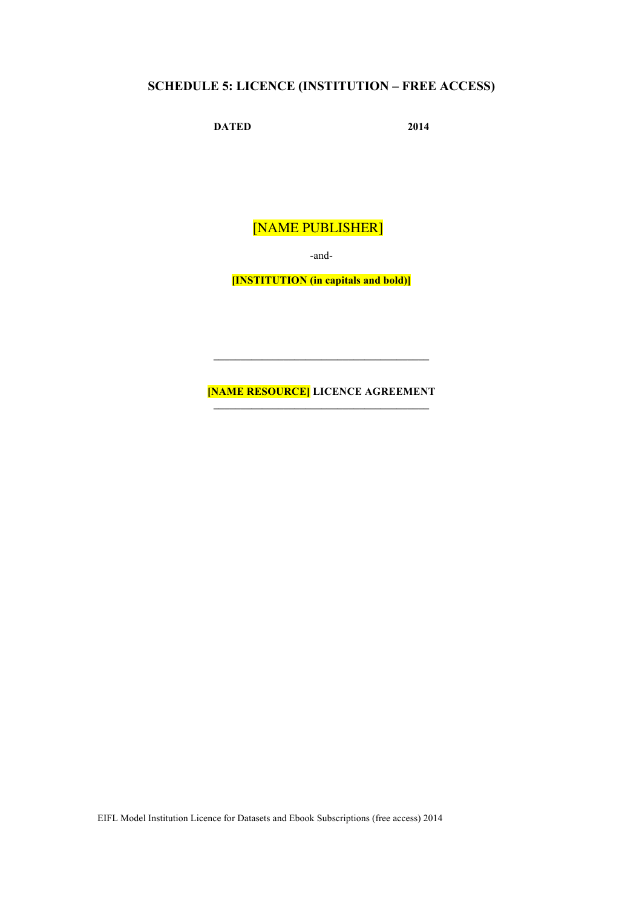# **SCHEDULE 5: LICENCE (INSTITUTION – FREE ACCESS)**

**DATED** 2014

[NAME PUBLISHER]

-and-

**[INSTITUTION (in capitals and bold)]**

**[NAME RESOURCE] LICENCE AGREEMENT**

**\_\_\_\_\_\_\_\_\_\_\_\_\_\_\_\_\_\_\_\_\_\_\_\_\_\_\_\_\_\_\_\_\_\_\_\_\_\_\_\_**

EIFL Model Institution Licence for Datasets and Ebook Subscriptions (free access) 2014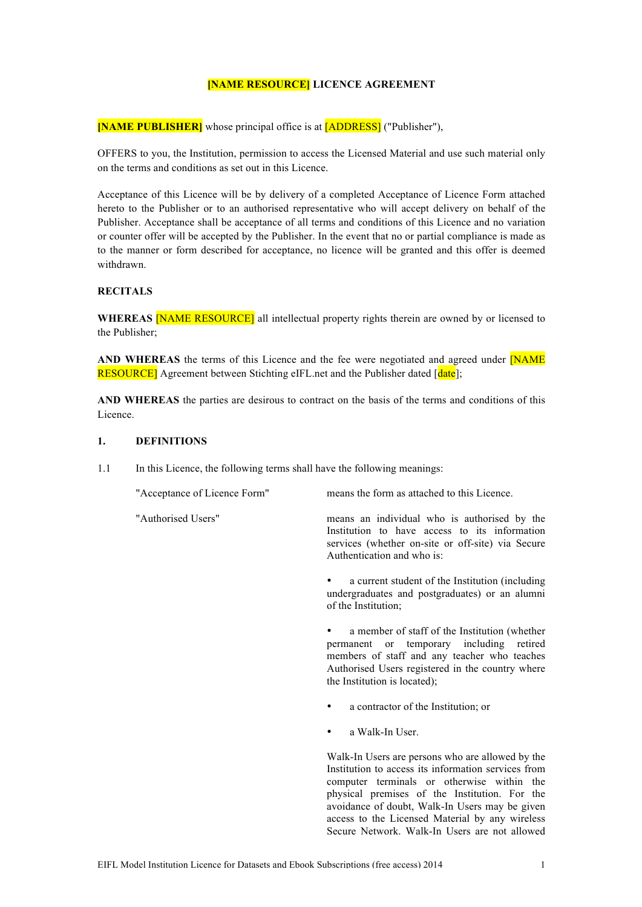# **[NAME RESOURCE] LICENCE AGREEMENT**

**[NAME PUBLISHER]** whose principal office is at [ADDRESS] ("Publisher"),

OFFERS to you, the Institution, permission to access the Licensed Material and use such material only on the terms and conditions as set out in this Licence.

Acceptance of this Licence will be by delivery of a completed Acceptance of Licence Form attached hereto to the Publisher or to an authorised representative who will accept delivery on behalf of the Publisher. Acceptance shall be acceptance of all terms and conditions of this Licence and no variation or counter offer will be accepted by the Publisher. In the event that no or partial compliance is made as to the manner or form described for acceptance, no licence will be granted and this offer is deemed withdrawn.

# **RECITALS**

**WHEREAS** [NAME RESOURCE] all intellectual property rights therein are owned by or licensed to the Publisher;

**AND WHEREAS** the terms of this Licence and the fee were negotiated and agreed under [NAME **RESOURCE**] Agreement between Stichting eIFL, net and the Publisher dated [date]:

**AND WHEREAS** the parties are desirous to contract on the basis of the terms and conditions of this Licence.

#### **1. DEFINITIONS**

1.1 In this Licence, the following terms shall have the following meanings:

"Acceptance of Licence Form" means the form as attached to this Licence.

"Authorised Users" means an individual who is authorised by the Institution to have access to its information services (whether on-site or off-site) via Secure Authentication and who is:

> a current student of the Institution (including undergraduates and postgraduates) or an alumni of the Institution;

> a member of staff of the Institution (whether permanent or temporary including retired members of staff and any teacher who teaches Authorised Users registered in the country where the Institution is located);

- a contractor of the Institution; or
- a Walk-In User.

Walk-In Users are persons who are allowed by the Institution to access its information services from computer terminals or otherwise within the physical premises of the Institution. For the avoidance of doubt, Walk-In Users may be given access to the Licensed Material by any wireless Secure Network. Walk-In Users are not allowed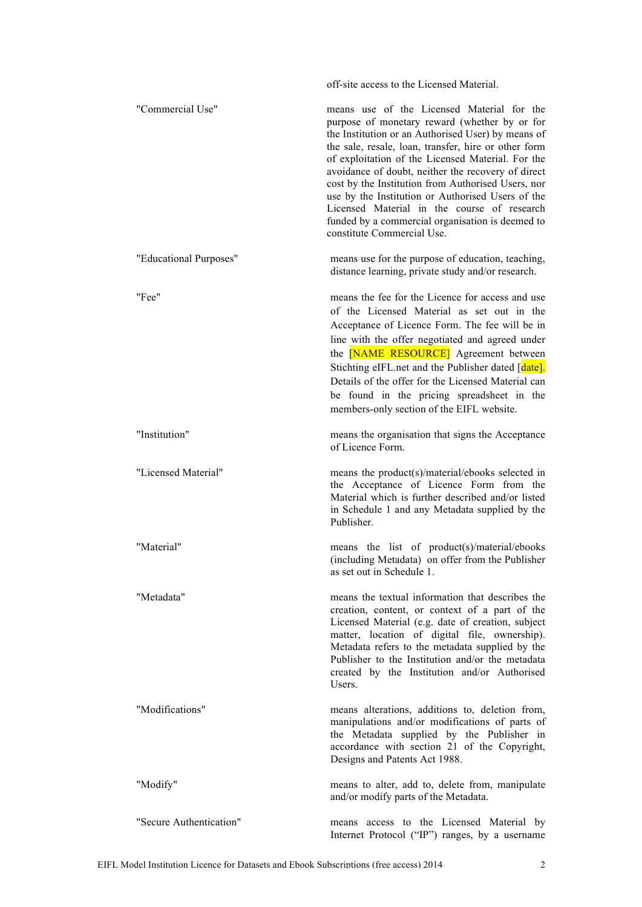|                         | off-site access to the Licensed Material.                                                                                                                                                                                                                                                                                                                                                                                                                                                                                                                        |
|-------------------------|------------------------------------------------------------------------------------------------------------------------------------------------------------------------------------------------------------------------------------------------------------------------------------------------------------------------------------------------------------------------------------------------------------------------------------------------------------------------------------------------------------------------------------------------------------------|
| "Commercial Use"        | means use of the Licensed Material for the<br>purpose of monetary reward (whether by or for<br>the Institution or an Authorised User) by means of<br>the sale, resale, loan, transfer, hire or other form<br>of exploitation of the Licensed Material. For the<br>avoidance of doubt, neither the recovery of direct<br>cost by the Institution from Authorised Users, nor<br>use by the Institution or Authorised Users of the<br>Licensed Material in the course of research<br>funded by a commercial organisation is deemed to<br>constitute Commercial Use. |
| "Educational Purposes"  | means use for the purpose of education, teaching,<br>distance learning, private study and/or research.                                                                                                                                                                                                                                                                                                                                                                                                                                                           |
| "Fee"                   | means the fee for the Licence for access and use<br>of the Licensed Material as set out in the<br>Acceptance of Licence Form. The fee will be in<br>line with the offer negotiated and agreed under<br>the [NAME RESOURCE] Agreement between<br>Stichting eIFL.net and the Publisher dated [date].<br>Details of the offer for the Licensed Material can<br>be found in the pricing spreadsheet in the<br>members-only section of the EIFL website.                                                                                                              |
| "Institution"           | means the organisation that signs the Acceptance<br>of Licence Form.                                                                                                                                                                                                                                                                                                                                                                                                                                                                                             |
| "Licensed Material"     | means the product(s)/material/ebooks selected in<br>the Acceptance of Licence Form from the<br>Material which is further described and/or listed<br>in Schedule 1 and any Metadata supplied by the<br>Publisher.                                                                                                                                                                                                                                                                                                                                                 |
| "Material"              | means the list of product(s)/material/ebooks<br>(including Metadata) on offer from the Publisher<br>as set out in Schedule 1.                                                                                                                                                                                                                                                                                                                                                                                                                                    |
| "Metadata"              | means the textual information that describes the<br>creation, content, or context of a part of the<br>Licensed Material (e.g. date of creation, subject<br>matter, location of digital file, ownership).<br>Metadata refers to the metadata supplied by the<br>Publisher to the Institution and/or the metadata<br>created by the Institution and/or Authorised<br>Users.                                                                                                                                                                                        |
| "Modifications"         | means alterations, additions to, deletion from,<br>manipulations and/or modifications of parts of<br>the Metadata supplied by the Publisher in<br>accordance with section 21 of the Copyright,<br>Designs and Patents Act 1988.                                                                                                                                                                                                                                                                                                                                  |
| "Modify"                | means to alter, add to, delete from, manipulate<br>and/or modify parts of the Metadata.                                                                                                                                                                                                                                                                                                                                                                                                                                                                          |
| "Secure Authentication" | means access to the Licensed Material by<br>Internet Protocol ("IP") ranges, by a username                                                                                                                                                                                                                                                                                                                                                                                                                                                                       |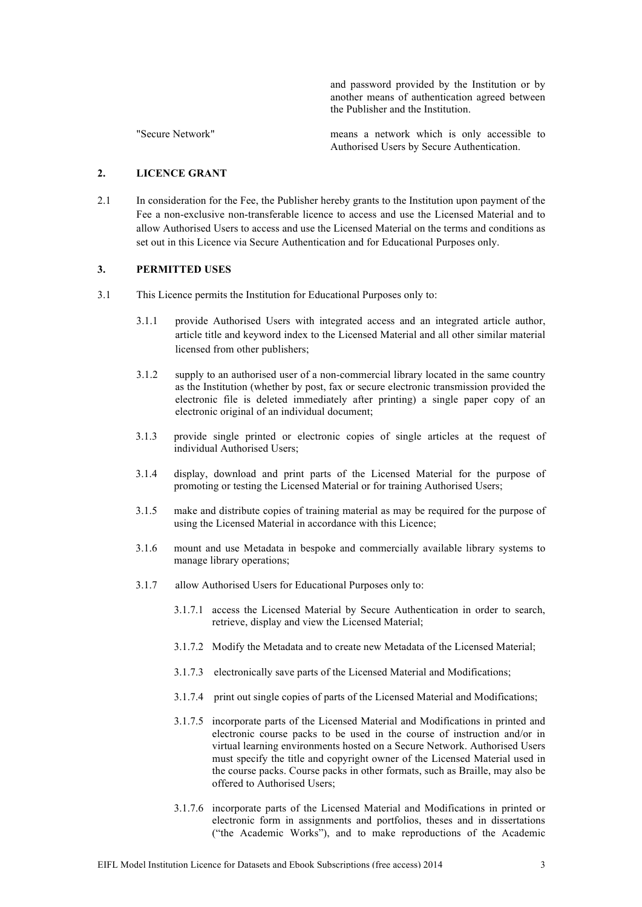and password provided by the Institution or by another means of authentication agreed between the Publisher and the Institution.

"Secure Network" means a network which is only accessible to Authorised Users by Secure Authentication.

# **2. LICENCE GRANT**

2.1 In consideration for the Fee, the Publisher hereby grants to the Institution upon payment of the Fee a non-exclusive non-transferable licence to access and use the Licensed Material and to allow Authorised Users to access and use the Licensed Material on the terms and conditions as set out in this Licence via Secure Authentication and for Educational Purposes only.

#### **3. PERMITTED USES**

- 3.1 This Licence permits the Institution for Educational Purposes only to:
	- 3.1.1 provide Authorised Users with integrated access and an integrated article author, article title and keyword index to the Licensed Material and all other similar material licensed from other publishers;
	- 3.1.2 supply to an authorised user of a non-commercial library located in the same country as the Institution (whether by post, fax or secure electronic transmission provided the electronic file is deleted immediately after printing) a single paper copy of an electronic original of an individual document;
	- 3.1.3 provide single printed or electronic copies of single articles at the request of individual Authorised Users;
	- 3.1.4 display, download and print parts of the Licensed Material for the purpose of promoting or testing the Licensed Material or for training Authorised Users;
	- 3.1.5 make and distribute copies of training material as may be required for the purpose of using the Licensed Material in accordance with this Licence;
	- 3.1.6 mount and use Metadata in bespoke and commercially available library systems to manage library operations;
	- 3.1.7 allow Authorised Users for Educational Purposes only to:
		- 3.1.7.1 access the Licensed Material by Secure Authentication in order to search, retrieve, display and view the Licensed Material;
		- 3.1.7.2 Modify the Metadata and to create new Metadata of the Licensed Material;
		- 3.1.7.3 electronically save parts of the Licensed Material and Modifications;
		- 3.1.7.4 print out single copies of parts of the Licensed Material and Modifications;
		- 3.1.7.5 incorporate parts of the Licensed Material and Modifications in printed and electronic course packs to be used in the course of instruction and/or in virtual learning environments hosted on a Secure Network. Authorised Users must specify the title and copyright owner of the Licensed Material used in the course packs. Course packs in other formats, such as Braille, may also be offered to Authorised Users;
		- 3.1.7.6 incorporate parts of the Licensed Material and Modifications in printed or electronic form in assignments and portfolios, theses and in dissertations ("the Academic Works"), and to make reproductions of the Academic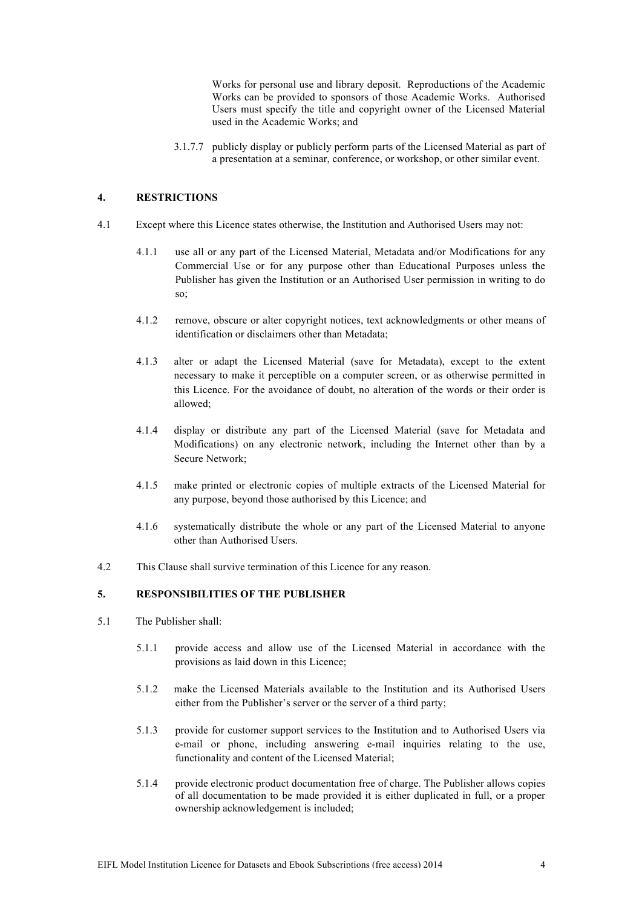Works for personal use and library deposit. Reproductions of the Academic Works can be provided to sponsors of those Academic Works. Authorised Users must specify the title and copyright owner of the Licensed Material used in the Academic Works; and

3.1.7.7 publicly display or publicly perform parts of the Licensed Material as part of a presentation at a seminar, conference, or workshop, or other similar event.

## **4. RESTRICTIONS**

- 4.1 Except where this Licence states otherwise, the Institution and Authorised Users may not:
	- 4.1.1 use all or any part of the Licensed Material, Metadata and/or Modifications for any Commercial Use or for any purpose other than Educational Purposes unless the Publisher has given the Institution or an Authorised User permission in writing to do so;
	- 4.1.2 remove, obscure or alter copyright notices, text acknowledgments or other means of identification or disclaimers other than Metadata;
	- 4.1.3 alter or adapt the Licensed Material (save for Metadata), except to the extent necessary to make it perceptible on a computer screen, or as otherwise permitted in this Licence. For the avoidance of doubt, no alteration of the words or their order is allowed;
	- 4.1.4 display or distribute any part of the Licensed Material (save for Metadata and Modifications) on any electronic network, including the Internet other than by a Secure Network;
	- 4.1.5 make printed or electronic copies of multiple extracts of the Licensed Material for any purpose, beyond those authorised by this Licence; and
	- 4.1.6 systematically distribute the whole or any part of the Licensed Material to anyone other than Authorised Users.
- 4.2 This Clause shall survive termination of this Licence for any reason.

## **5. RESPONSIBILITIES OF THE PUBLISHER**

- 5.1 The Publisher shall:
	- 5.1.1 provide access and allow use of the Licensed Material in accordance with the provisions as laid down in this Licence;
	- 5.1.2 make the Licensed Materials available to the Institution and its Authorised Users either from the Publisher's server or the server of a third party;
	- 5.1.3 provide for customer support services to the Institution and to Authorised Users via e-mail or phone, including answering e-mail inquiries relating to the use, functionality and content of the Licensed Material;
	- 5.1.4 provide electronic product documentation free of charge. The Publisher allows copies of all documentation to be made provided it is either duplicated in full, or a proper ownership acknowledgement is included;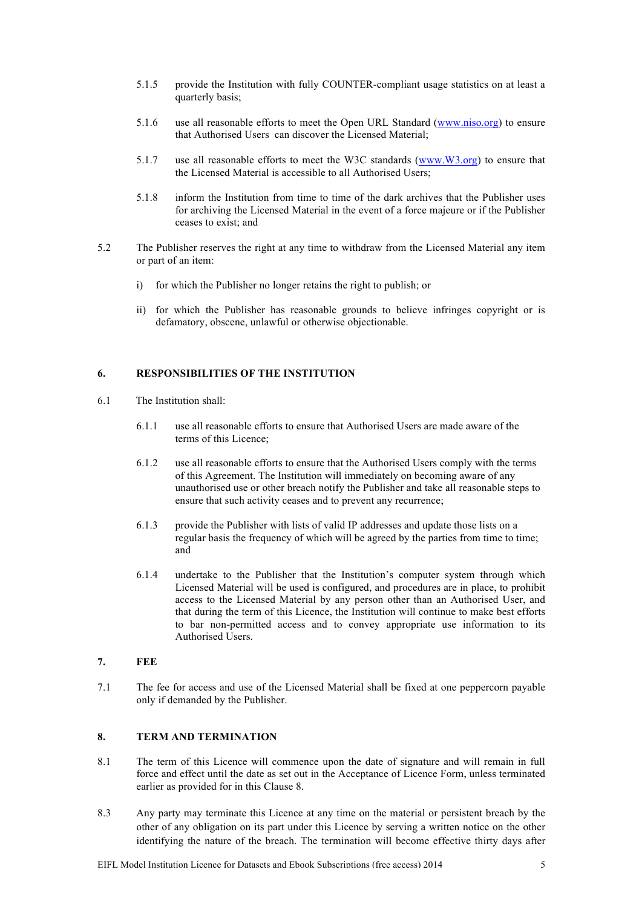- 5.1.5 provide the Institution with fully COUNTER-compliant usage statistics on at least a quarterly basis;
- 5.1.6 use all reasonable efforts to meet the Open URL Standard (www.niso.org) to ensure that Authorised Users can discover the Licensed Material;
- 5.1.7 use all reasonable efforts to meet the W3C standards (www.W3.org) to ensure that the Licensed Material is accessible to all Authorised Users;
- 5.1.8 inform the Institution from time to time of the dark archives that the Publisher uses for archiving the Licensed Material in the event of a force majeure or if the Publisher ceases to exist; and
- 5.2 The Publisher reserves the right at any time to withdraw from the Licensed Material any item or part of an item:
	- i) for which the Publisher no longer retains the right to publish; or
	- ii) for which the Publisher has reasonable grounds to believe infringes copyright or is defamatory, obscene, unlawful or otherwise objectionable.

# **6. RESPONSIBILITIES OF THE INSTITUTION**

- 6.1 The Institution shall:
	- 6.1.1 use all reasonable efforts to ensure that Authorised Users are made aware of the terms of this Licence;
	- 6.1.2 use all reasonable efforts to ensure that the Authorised Users comply with the terms of this Agreement. The Institution will immediately on becoming aware of any unauthorised use or other breach notify the Publisher and take all reasonable steps to ensure that such activity ceases and to prevent any recurrence;
	- 6.1.3 provide the Publisher with lists of valid IP addresses and update those lists on a regular basis the frequency of which will be agreed by the parties from time to time; and
	- 6.1.4 undertake to the Publisher that the Institution's computer system through which Licensed Material will be used is configured, and procedures are in place, to prohibit access to the Licensed Material by any person other than an Authorised User, and that during the term of this Licence, the Institution will continue to make best efforts to bar non-permitted access and to convey appropriate use information to its Authorised Users.
- **7. FEE**
- 7.1 The fee for access and use of the Licensed Material shall be fixed at one peppercorn payable only if demanded by the Publisher.

#### **8. TERM AND TERMINATION**

- 8.1 The term of this Licence will commence upon the date of signature and will remain in full force and effect until the date as set out in the Acceptance of Licence Form, unless terminated earlier as provided for in this Clause 8.
- 8.3 Any party may terminate this Licence at any time on the material or persistent breach by the other of any obligation on its part under this Licence by serving a written notice on the other identifying the nature of the breach. The termination will become effective thirty days after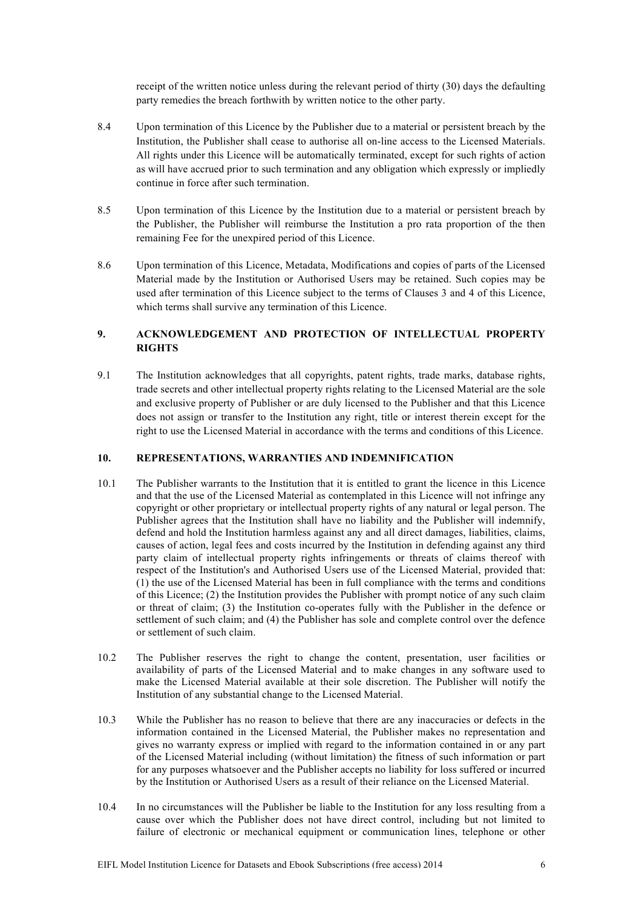receipt of the written notice unless during the relevant period of thirty (30) days the defaulting party remedies the breach forthwith by written notice to the other party.

- 8.4 Upon termination of this Licence by the Publisher due to a material or persistent breach by the Institution, the Publisher shall cease to authorise all on-line access to the Licensed Materials. All rights under this Licence will be automatically terminated, except for such rights of action as will have accrued prior to such termination and any obligation which expressly or impliedly continue in force after such termination.
- 8.5 Upon termination of this Licence by the Institution due to a material or persistent breach by the Publisher, the Publisher will reimburse the Institution a pro rata proportion of the then remaining Fee for the unexpired period of this Licence.
- 8.6 Upon termination of this Licence, Metadata, Modifications and copies of parts of the Licensed Material made by the Institution or Authorised Users may be retained. Such copies may be used after termination of this Licence subject to the terms of Clauses 3 and 4 of this Licence, which terms shall survive any termination of this Licence.

# **9. ACKNOWLEDGEMENT AND PROTECTION OF INTELLECTUAL PROPERTY RIGHTS**

9.1 The Institution acknowledges that all copyrights, patent rights, trade marks, database rights, trade secrets and other intellectual property rights relating to the Licensed Material are the sole and exclusive property of Publisher or are duly licensed to the Publisher and that this Licence does not assign or transfer to the Institution any right, title or interest therein except for the right to use the Licensed Material in accordance with the terms and conditions of this Licence.

#### **10. REPRESENTATIONS, WARRANTIES AND INDEMNIFICATION**

- 10.1 The Publisher warrants to the Institution that it is entitled to grant the licence in this Licence and that the use of the Licensed Material as contemplated in this Licence will not infringe any copyright or other proprietary or intellectual property rights of any natural or legal person. The Publisher agrees that the Institution shall have no liability and the Publisher will indemnify, defend and hold the Institution harmless against any and all direct damages, liabilities, claims, causes of action, legal fees and costs incurred by the Institution in defending against any third party claim of intellectual property rights infringements or threats of claims thereof with respect of the Institution's and Authorised Users use of the Licensed Material, provided that: (1) the use of the Licensed Material has been in full compliance with the terms and conditions of this Licence; (2) the Institution provides the Publisher with prompt notice of any such claim or threat of claim; (3) the Institution co-operates fully with the Publisher in the defence or settlement of such claim; and (4) the Publisher has sole and complete control over the defence or settlement of such claim.
- 10.2 The Publisher reserves the right to change the content, presentation, user facilities or availability of parts of the Licensed Material and to make changes in any software used to make the Licensed Material available at their sole discretion. The Publisher will notify the Institution of any substantial change to the Licensed Material.
- 10.3 While the Publisher has no reason to believe that there are any inaccuracies or defects in the information contained in the Licensed Material, the Publisher makes no representation and gives no warranty express or implied with regard to the information contained in or any part of the Licensed Material including (without limitation) the fitness of such information or part for any purposes whatsoever and the Publisher accepts no liability for loss suffered or incurred by the Institution or Authorised Users as a result of their reliance on the Licensed Material.
- 10.4 In no circumstances will the Publisher be liable to the Institution for any loss resulting from a cause over which the Publisher does not have direct control, including but not limited to failure of electronic or mechanical equipment or communication lines, telephone or other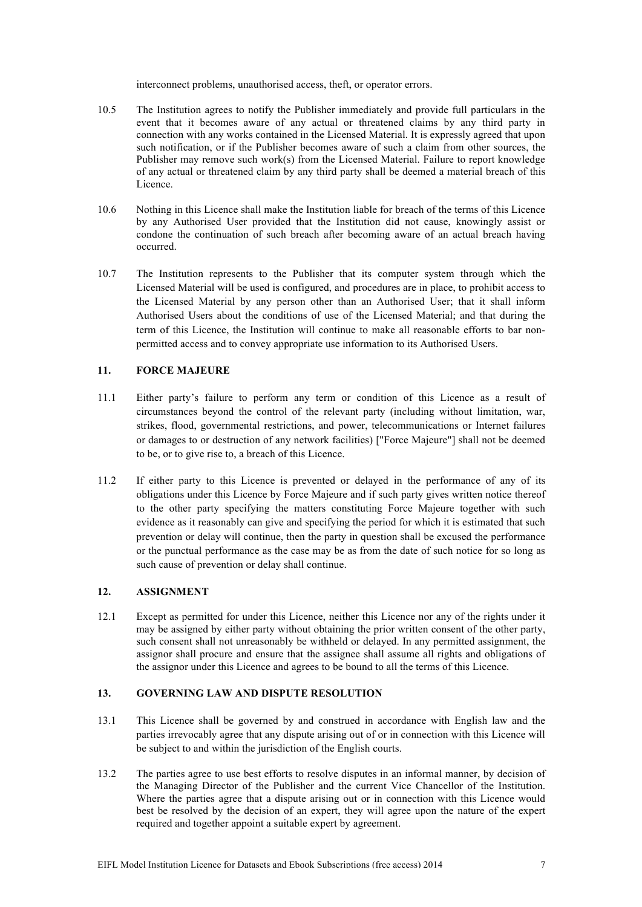interconnect problems, unauthorised access, theft, or operator errors.

- 10.5 The Institution agrees to notify the Publisher immediately and provide full particulars in the event that it becomes aware of any actual or threatened claims by any third party in connection with any works contained in the Licensed Material. It is expressly agreed that upon such notification, or if the Publisher becomes aware of such a claim from other sources, the Publisher may remove such work(s) from the Licensed Material. Failure to report knowledge of any actual or threatened claim by any third party shall be deemed a material breach of this Licence.
- 10.6 Nothing in this Licence shall make the Institution liable for breach of the terms of this Licence by any Authorised User provided that the Institution did not cause, knowingly assist or condone the continuation of such breach after becoming aware of an actual breach having occurred.
- 10.7 The Institution represents to the Publisher that its computer system through which the Licensed Material will be used is configured, and procedures are in place, to prohibit access to the Licensed Material by any person other than an Authorised User; that it shall inform Authorised Users about the conditions of use of the Licensed Material; and that during the term of this Licence, the Institution will continue to make all reasonable efforts to bar nonpermitted access and to convey appropriate use information to its Authorised Users.

## **11. FORCE MAJEURE**

- 11.1 Either party's failure to perform any term or condition of this Licence as a result of circumstances beyond the control of the relevant party (including without limitation, war, strikes, flood, governmental restrictions, and power, telecommunications or Internet failures or damages to or destruction of any network facilities) ["Force Majeure"] shall not be deemed to be, or to give rise to, a breach of this Licence.
- 11.2 If either party to this Licence is prevented or delayed in the performance of any of its obligations under this Licence by Force Majeure and if such party gives written notice thereof to the other party specifying the matters constituting Force Majeure together with such evidence as it reasonably can give and specifying the period for which it is estimated that such prevention or delay will continue, then the party in question shall be excused the performance or the punctual performance as the case may be as from the date of such notice for so long as such cause of prevention or delay shall continue.

#### **12. ASSIGNMENT**

12.1 Except as permitted for under this Licence, neither this Licence nor any of the rights under it may be assigned by either party without obtaining the prior written consent of the other party, such consent shall not unreasonably be withheld or delayed. In any permitted assignment, the assignor shall procure and ensure that the assignee shall assume all rights and obligations of the assignor under this Licence and agrees to be bound to all the terms of this Licence.

# **13. GOVERNING LAW AND DISPUTE RESOLUTION**

- 13.1 This Licence shall be governed by and construed in accordance with English law and the parties irrevocably agree that any dispute arising out of or in connection with this Licence will be subject to and within the jurisdiction of the English courts.
- 13.2 The parties agree to use best efforts to resolve disputes in an informal manner, by decision of the Managing Director of the Publisher and the current Vice Chancellor of the Institution. Where the parties agree that a dispute arising out or in connection with this Licence would best be resolved by the decision of an expert, they will agree upon the nature of the expert required and together appoint a suitable expert by agreement.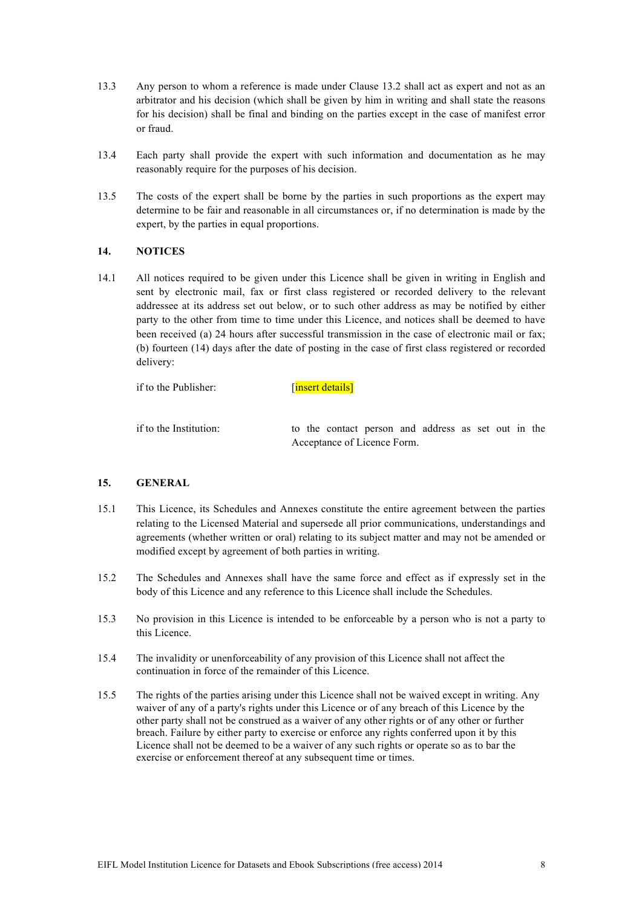- 13.3 Any person to whom a reference is made under Clause 13.2 shall act as expert and not as an arbitrator and his decision (which shall be given by him in writing and shall state the reasons for his decision) shall be final and binding on the parties except in the case of manifest error or fraud.
- 13.4 Each party shall provide the expert with such information and documentation as he may reasonably require for the purposes of his decision.
- 13.5 The costs of the expert shall be borne by the parties in such proportions as the expert may determine to be fair and reasonable in all circumstances or, if no determination is made by the expert, by the parties in equal proportions.

#### **14. NOTICES**

14.1 All notices required to be given under this Licence shall be given in writing in English and sent by electronic mail, fax or first class registered or recorded delivery to the relevant addressee at its address set out below, or to such other address as may be notified by either party to the other from time to time under this Licence, and notices shall be deemed to have been received (a) 24 hours after successful transmission in the case of electronic mail or fax; (b) fourteen (14) days after the date of posting in the case of first class registered or recorded delivery:

if to the Publisher: [insert details]

if to the Institution: to the contact person and address as set out in the Acceptance of Licence Form.

#### **15. GENERAL**

- 15.1 This Licence, its Schedules and Annexes constitute the entire agreement between the parties relating to the Licensed Material and supersede all prior communications, understandings and agreements (whether written or oral) relating to its subject matter and may not be amended or modified except by agreement of both parties in writing.
- 15.2 The Schedules and Annexes shall have the same force and effect as if expressly set in the body of this Licence and any reference to this Licence shall include the Schedules.
- 15.3 No provision in this Licence is intended to be enforceable by a person who is not a party to this Licence.
- 15.4 The invalidity or unenforceability of any provision of this Licence shall not affect the continuation in force of the remainder of this Licence.
- 15.5 The rights of the parties arising under this Licence shall not be waived except in writing. Any waiver of any of a party's rights under this Licence or of any breach of this Licence by the other party shall not be construed as a waiver of any other rights or of any other or further breach. Failure by either party to exercise or enforce any rights conferred upon it by this Licence shall not be deemed to be a waiver of any such rights or operate so as to bar the exercise or enforcement thereof at any subsequent time or times.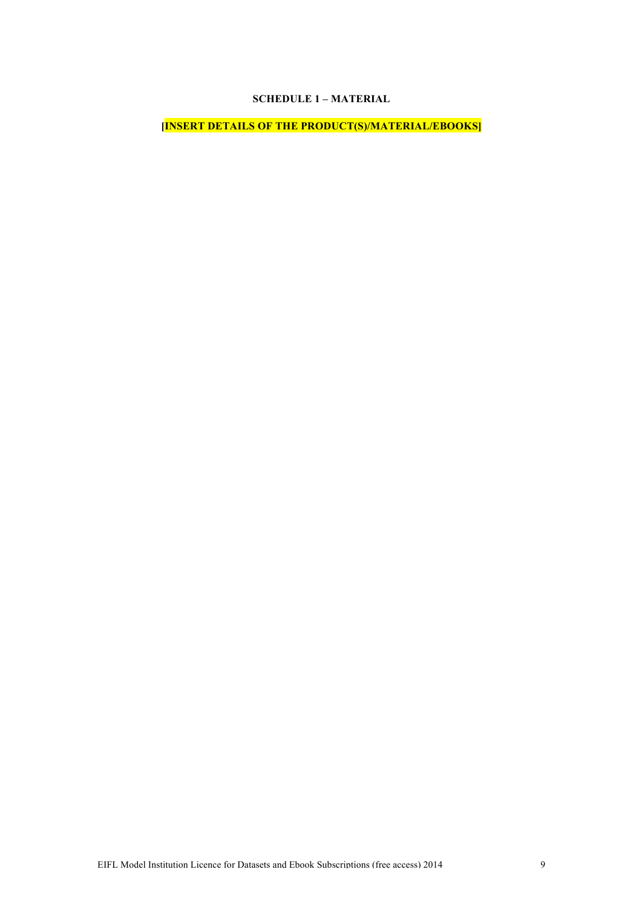# **SCHEDULE 1 – MATERIAL**

**[INSERT DETAILS OF THE PRODUCT(S)/MATERIAL/EBOOKS]**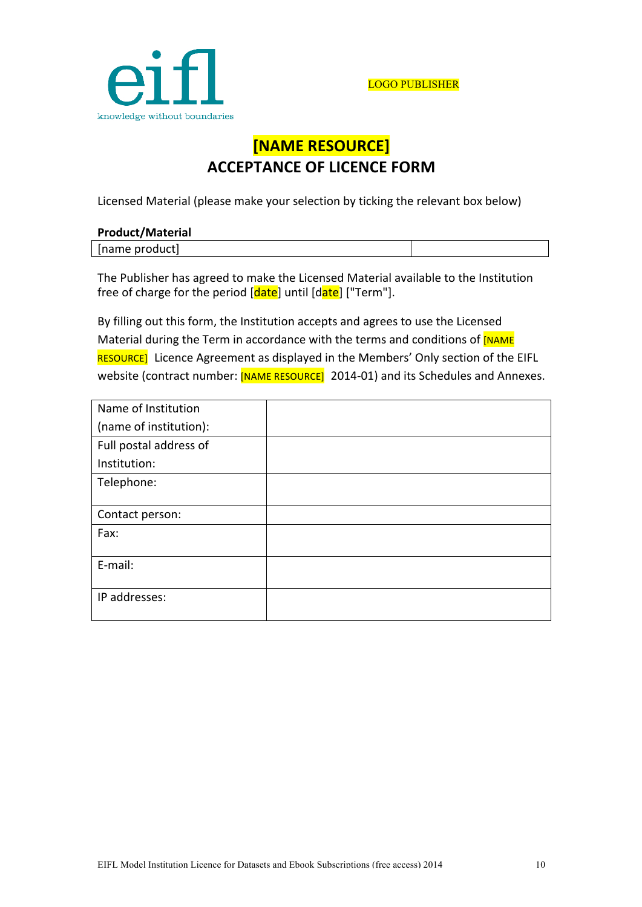

# **[NAME RESOURCE] ACCEPTANCE OF LICENCE FORM**

Licensed Material (please make your selection by ticking the relevant box below)

| <b>Product/Material</b> |  |
|-------------------------|--|
| [name product]          |  |

The Publisher has agreed to make the Licensed Material available to the Institution free of charge for the period [date] until [date] ["Term"].

By filling out this form, the Institution accepts and agrees to use the Licensed Material during the Term in accordance with the terms and conditions of [NAME] RESOURCE] Licence Agreement as displayed in the Members' Only section of the EIFL website (contract number: [NAME RESOURCE] 2014-01) and its Schedules and Annexes.

| Name of Institution    |  |
|------------------------|--|
| (name of institution): |  |
| Full postal address of |  |
| Institution:           |  |
| Telephone:             |  |
|                        |  |
| Contact person:        |  |
| Fax:                   |  |
|                        |  |
| E-mail:                |  |
|                        |  |
| IP addresses:          |  |
|                        |  |